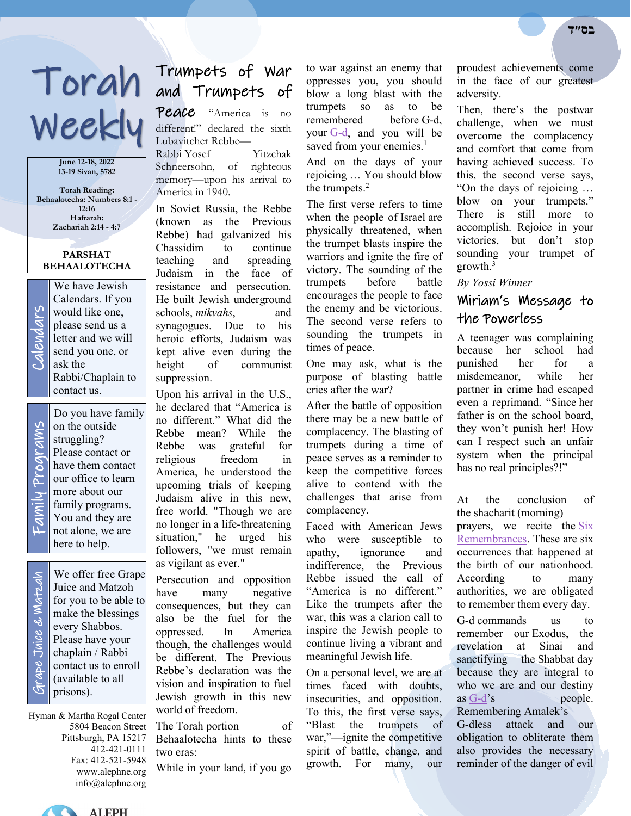# Weekly

**June 12-18, 2022 13-19 Sivan, 5782**

**Torah Reading: Behaalotecha: Numbers 8:1 - 12:16 Haftarah: Zachariah 2:14 - 4:7**

### **PARSHAT BEHAALOTECHA**

We have Jewish<br>Calendars. If you<br>would like one,<br>please send us a<br>letter and we will<br>send you one, or<br>ask the Calendars. If you would like one, please send us a letter and we will send you one, or ask the Rabbi/Chaplain to contact us.

Family Programs rams y Prog

Do you have family on the outside struggling? Please contact or have them contact our office to learn more about our family programs. You and they are not alone, we are here to help.

 Grape Juice & Matzah Strape Juice & Watzah

We offer free Grape Juice and Matzoh for you to be able to make the blessings every Shabbos. Please have your chaplain / Rabbi contact us to enroll (available to all prisons).

Hyman & Martha Rogal Center 5804 Beacon Street Pittsburgh, PA 15217 412-421-0111 Fax: 412-521-5948 www.alephne.org info@alephne.org

# Torah Trumpets of War and Trumpets of

Peace "America is no different!" declared the sixth Lubavitcher Rebbe—

Rabbi Yosef Yitzchak Schneersohn, of righteous memory—upon his arrival to America in 1940.

In Soviet Russia, the Rebbe (known as the Previous Rebbe) had galvanized his Chassidim to continue teaching and spreading Judaism in the face of resistance and persecution. He built Jewish underground schools, *mikvahs*, and synagogues. Due to his heroic efforts, Judaism was kept alive even during the height of communist suppression.

Upon his arrival in the U.S., he declared that "America is no different." What did the Rebbe mean? While the Rebbe was grateful for religious freedom in America, he understood the upcoming trials of keeping Judaism alive in this new, free world. "Though we are no longer in a life-threatening situation," he urged his followers, "we must remain as vigilant as ever."

Persecution and opposition have many negative consequences, but they can also be the fuel for the oppressed. In America though, the challenges would be different. The Previous Rebbe's declaration was the vision and inspiration to fuel Jewish growth in this new world of freedom.

The Torah portion of Behaalotecha hints to these two eras:

While in your land, if you go

to war against an enemy that oppresses you, you should blow a long blast with the trumpets so as to be remembered before G-d, your [G-d,](https://www.chabad.org/library/article_cdo/aid/433240/jewish/God.htm) and you will be saved from your enemies.<sup>1</sup>

And on the days of your rejoicing … You should blow the trumpets. $2$ 

The first verse refers to time when the people of Israel are physically threatened, when the trumpet blasts inspire the warriors and ignite the fire of victory. The sounding of the trumpets before battle encourages the people to face the enemy and be victorious. The second verse refers to sounding the trumpets in times of peace.

One may ask, what is the purpose of blasting battle cries after the war?

After the battle of opposition there may be a new battle of complacency. The blasting of trumpets during a time of peace serves as a reminder to keep the competitive forces alive to contend with the challenges that arise from complacency.

Faced with American Jews who were susceptible to apathy, ignorance and indifference, the Previous Rebbe issued the call of "America is no different." Like the trumpets after the war, this was a clarion call to inspire the Jewish people to continue living a vibrant and meaningful Jewish life.

On a personal level, we are at times faced with doubts, insecurities, and opposition. To this, the first verse says, "Blast the trumpets of war,"—ignite the competitive spirit of battle, change, and growth. For many, our

proudest achievements come in the face of our greatest adversity.

Then, there's the postwar challenge, when we must overcome the complacency and comfort that come from having achieved success. To this, the second verse says, "On the days of rejoicing … blow on your trumpets." There is still more to accomplish. Rejoice in your victories, but don't stop sounding your trumpet of growth.3

*By Yossi Winner*

# Miriam's Message to the Powerless

A teenager was complaining because her school had punished her for a misdemeanor, while her partner in crime had escaped even a reprimand. "Since her father is on the school board, they won't punish her! How can I respect such an unfair system when the principal has no real principles?!"

At the conclusion of the shacharit (morning) prayers, we recite the [Six](https://www.chabad.org/library/article_cdo/aid/2263399/jewish/What-Are-the-Six-Remembrances.htm)  [Remembrances.](https://www.chabad.org/library/article_cdo/aid/2263399/jewish/What-Are-the-Six-Remembrances.htm) These are six occurrences that happened at the birth of our nationhood. According to many authorities, we are obligated to remember them every day.

G-d commands us to remember our Exodus, the revelation at Sinai and sanctifying the Shabbat day because they are integral to who we are and our destiny as [G-d'](https://www.chabad.org/library/article_cdo/aid/433240/jewish/God.htm)s people. Remembering Amalek's G-dless attack and our obligation to obliterate them also provides the necessary reminder of the danger of evil